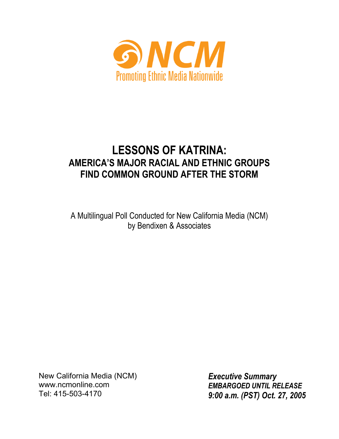

# **LESSONS OF KATRINA: AMERICA'S MAJOR RACIAL AND ETHNIC GROUPS FIND COMMON GROUND AFTER THE STORM**

A Multilingual Poll Conducted for New California Media (NCM) by Bendixen & Associates

**EXECUTIVE SUMMARY** Tel: 415-503-4170 New California Media (NCM) www.ncmonline.com

*Executive Summary EMBARGOED UNTIL RELEASE 9:00 a.m. (PST) Oct. 27, 2005*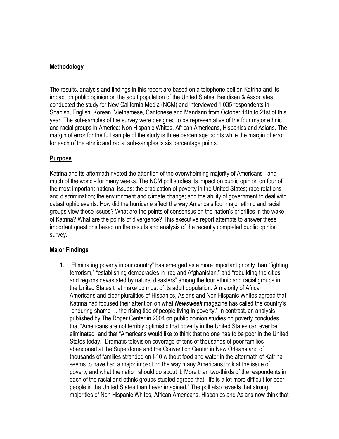# **Methodology**

The results, analysis and findings in this report are based on a telephone poll on Katrina and its impact on public opinion on the adult population of the United States. Bendixen & Associates conducted the study for New California Media (NCM) and interviewed 1,035 respondents in Spanish, English, Korean, Vietnamese, Cantonese and Mandarin from October 14th to 21st of this year. The sub-samples of the survey were designed to be representative of the four major ethnic and racial groups in America: Non Hispanic Whites, African Americans, Hispanics and Asians. The margin of error for the full sample of the study is three percentage points while the margin of error for each of the ethnic and racial sub-samples is six percentage points.

# **Purpose**

Katrina and its aftermath riveted the attention of the overwhelming majority of Americans - and much of the world - for many weeks. The NCM poll studies its impact on public opinion on four of the most important national issues: the eradication of poverty in the United States; race relations and discrimination; the environment and climate change; and the ability of government to deal with catastrophic events. How did the hurricane affect the way America's four major ethnic and racial groups view these issues? What are the points of consensus on the nation's priorities in the wake of Katrina? What are the points of divergence? This executive report attempts to answer these important questions based on the results and analysis of the recently completed public opinion survey.

# **Major Findings**

1. "Eliminating poverty in our country" has emerged as a more important priority than "fighting terrorism," "establishing democracies in Iraq and Afghanistan," and "rebuilding the cities and regions devastated by natural disasters" among the four ethnic and racial groups in the United States that make up most of its adult population. A majority of African Americans and clear pluralities of Hispanics, Asians and Non Hispanic Whites agreed that Katrina had focused their attention on what *Newsweek* magazine has called the country's "enduring shame … the rising tide of people living in poverty." In contrast, an analysis published by The Roper Center in 2004 on public opinion studies on poverty concludes that "Americans are not terribly optimistic that poverty in the United States can ever be eliminated" and that "Americans would like to think that no one has to be poor in the United States today." Dramatic television coverage of tens of thousands of poor families abandoned at the Superdome and the Convention Center in New Orleans and of thousands of families stranded on I-10 without food and water in the aftermath of Katrina seems to have had a major impact on the way many Americans look at the issue of poverty and what the nation should do about it. More than two-thirds of the respondents in each of the racial and ethnic groups studied agreed that "life is a lot more difficult for poor people in the United States than I ever imagined." The poll also reveals that strong majorities of Non Hispanic Whites, African Americans, Hispanics and Asians now think that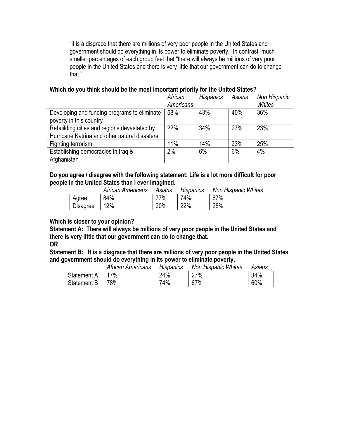"it is a disgrace that there are millions of very poor people in the United States and government should do everything in its power to eliminate poverty." In contrast, much smaller percentages of each group feel that "there will always be millions of very poor people in the United States and there is very little that our government can do to change that."

# **Which do you think should be the most important priority for the United States?**

|                                               | African   | Hispanics | Asians | Non Hispanic |
|-----------------------------------------------|-----------|-----------|--------|--------------|
|                                               | Americans |           |        | Whites       |
| Developing and funding programs to eliminate  | 58%       | 43%       | 40%    | 36%          |
| poverty in this country                       |           |           |        |              |
| Rebuilding cities and regions devastated by   | 22%       | 34%       | 27%    | 23%          |
| Hurricane Katrina and other natural disasters |           |           |        |              |
| Fighting terrorism                            | 11%       | 14%       | 23%    | 25%          |
| Establishing democracies in Iraq &            | 2%        | 6%        | 6%     | 4%           |
| Afghanistan                                   |           |           |        |              |

**Do you agree / disagree with the following statement: Life is a lot more difficult for poor people in the United States than I ever imagined.**

|          | African Americans | Asians | Hispanics | Non Hispanic Whites |
|----------|-------------------|--------|-----------|---------------------|
| Agree    | 84%               | 77%    | 74%       | 67%                 |
| Disagree | 12%               | 20%    | 22%       | 28%                 |

## **Which is closer to your opinion?**

**Statement A: There will always be millions of very poor people in the United States and there is very little that our government can do to change that.**

# **OR**

**Statement B: It is a disgrace that there are millions of very poor people in the United States and government should do everything in its power to eliminate poverty.**

|             | African Americans | <b>Hispanics</b> | <b>Non Hispanic Whites</b> | Asians |
|-------------|-------------------|------------------|----------------------------|--------|
| Statement A | 17%               | 24%              | 27%                        | 34%    |
| Statement B | 78%               | 74%              | 67%                        | 60%    |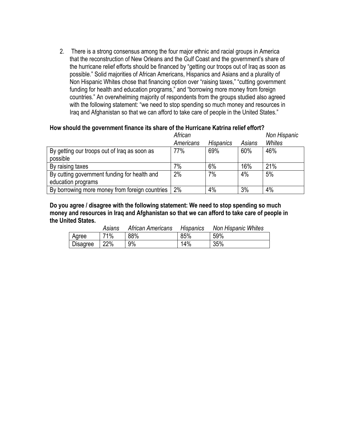2. There is a strong consensus among the four major ethnic and racial groups in America that the reconstruction of New Orleans and the Gulf Coast and the government's share of the hurricane relief efforts should be financed by "getting our troops out of Iraq as soon as possible." Solid majorities of African Americans, Hispanics and Asians and a plurality of Non Hispanic Whites chose that financing option over "raising taxes," "cutting government funding for health and education programs," and "borrowing more money from foreign countries." An overwhelming majority of respondents from the groups studied also agreed with the following statement: "we need to stop spending so much money and resources in Iraq and Afghanistan so that we can afford to take care of people in the United States."

# **How should the government finance its share of the Hurricane Katrina relief effort?**

|                                                | African   |                  |        | Non Hispanic |
|------------------------------------------------|-----------|------------------|--------|--------------|
|                                                | Americans | <b>Hispanics</b> | Asians | Whites       |
| By getting our troops out of Iraq as soon as   | 77%       | 69%              | 60%    | 46%          |
| possible                                       |           |                  |        |              |
| By raising taxes                               | 7%        | 6%               | 16%    | 21%          |
| By cutting government funding for health and   | 2%        | 7%               | 4%     | 5%           |
| education programs                             |           |                  |        |              |
| By borrowing more money from foreign countries | 2%        | 4%               | 3%     | 4%           |

**Do you agree / disagree with the following statement: We need to stop spending so much money and resources in Iraq and Afghanistan so that we can afford to take care of people in the United States.**

|                 | Asians | African Americans | Hispanics | <b>Non Hispanic Whites</b> |
|-----------------|--------|-------------------|-----------|----------------------------|
| Agree           | 71%    | 88%               | 85%       | 59%                        |
| <b>Disagree</b> | 22%    | 9%                | 14%       | 35%                        |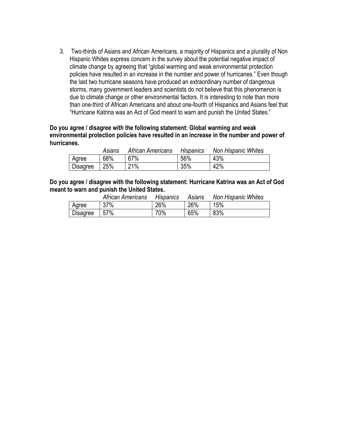3. Two-thirds of Asians and African Americans, a majority of Hispanics and a plurality of Non Hispanic Whites express concern in the survey about the potential negative impact of climate change by agreeing that "global warming and weak environmental protection policies have resulted in an increase in the number and power of hurricanes." Even though the last two hurricane seasons have produced an extraordinary number of dangerous storms, many government leaders and scientists do not believe that this phenomenon is due to climate change or other environmental factors. It is interesting to note than more than one-third of African Americans and about one-fourth of Hispanics and Asians feel that "Hurricane Katrina was an Act of God meant to warn and punish the United States."

## **Do you agree / disagree with the following statement: Global warming and weak environmental protection policies have resulted in an increase in the number and power of hurricanes.**

|          | Asians | African Americans | Hispanics | Non Hispanic Whites |
|----------|--------|-------------------|-----------|---------------------|
| Agree    | 68%    | 67%               | 56%       | 43%                 |
| Disagree | 25%    | 21%               | 35%       | 42%                 |

**Do you agree / disagree with the following statement: Hurricane Katrina was an Act of God meant to warn and punish the United States.**

|                 | African Americans | <b>Hispanics</b> | Asians | Non Hispanic Whites |
|-----------------|-------------------|------------------|--------|---------------------|
| Agree           | 37%               | 26%              | 26%    | 15%                 |
| <b>Disagree</b> | 57%               | 70%              | 65%    | 83%                 |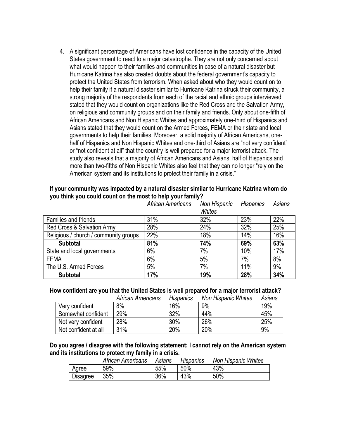4. A significant percentage of Americans have lost confidence in the capacity of the United States government to react to a major catastrophe. They are not only concerned about what would happen to their families and communities in case of a natural disaster but Hurricane Katrina has also created doubts about the federal government's capacity to protect the United States from terrorism. When asked about who they would count on to help their family if a natural disaster similar to Hurricane Katrina struck their community, a strong majority of the respondents from each of the racial and ethnic groups interviewed stated that they would count on organizations like the Red Cross and the Salvation Army, on religious and community groups and on their family and friends. Only about one-fifth of African Americans and Non Hispanic Whites and approximately one-third of Hispanics and Asians stated that they would count on the Armed Forces, FEMA or their state and local governments to help their families. Moreover, a solid majority of African Americans, onehalf of Hispanics and Non Hispanic Whites and one-third of Asians are "not very confident" or "not confident at all" that the country is well prepared for a major terrorist attack. The study also reveals that a majority of African Americans and Asians, half of Hispanics and more than two-fifths of Non Hispanic Whites also feel that they can no longer "rely on the American system and its institutions to protect their family in a crisis."

# **If your community was impacted by a natural disaster similar to Hurricane Katrina whom do you think you could count on the most to help your family?**

|                                       | African Americans | Non Hispanic<br>Whites | <b>Hispanics</b> | Asians |
|---------------------------------------|-------------------|------------------------|------------------|--------|
| Families and friends                  | 31%               | 32%                    | 23%              | 22%    |
| Red Cross & Salvation Army            | 28%               | 24%                    | 32%              | 25%    |
| Religious / church / community groups | 22%               | 18%                    | 14%              | 16%    |
| <b>Subtotal</b>                       | 81%               | 74%                    | 69%              | 63%    |
| State and local governments           | 6%                | 7%                     | 10%              | 17%    |
| <b>FEMA</b>                           | 6%                | 5%                     | 7%               | 8%     |
| The U.S. Armed Forces                 | 5%                | 7%                     | 11%              | 9%     |
| <b>Subtotal</b>                       | 17%               | 19%                    | 28%              | 34%    |

## **How confident are you that the United States is well prepared for a major terrorist attack?**

|                      | African Americans | <b>Hispanics</b> | Non Hispanic Whites | Asians |
|----------------------|-------------------|------------------|---------------------|--------|
| Very confident       | 8%                | 16%              | 9%                  | 19%    |
| Somewhat confident   | 29%               | 32%              | 44%                 | 45%    |
| Not very confident   | 28%               | 30%              | 26%                 | 25%    |
| Not confident at all | 31%               | 20%              | 20%                 | 9%     |

**Do you agree / disagree with the following statement: I cannot rely on the American system and its institutions to protect my family in a crisis.**

|                 | African Americans | Asians | Hispanics | <b>Non Hispanic Whites</b> |
|-----------------|-------------------|--------|-----------|----------------------------|
| Agree           | 59%               | 55%    | 50%       | 43%                        |
| <b>Disagree</b> | 35%               | 36%    | 43%       | 50%                        |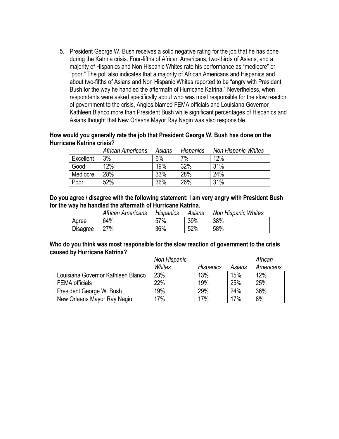5. President George W. Bush receives a solid negative rating for the job that he has done during the Katrina crisis. Four-fifths of African Americans, two-thirds of Asians, and a majority of Hispanics and Non Hispanic Whites rate his performance as "mediocre" or "poor." The poll also indicates that a majority of African Americans and Hispanics and about two-fifths of Asians and Non Hispanic Whites reported to be "angry with President Bush for the way he handled the aftermath of Hurricane Katrina." Nevertheless, when respondents were asked specifically about who was most responsible for the slow reaction of government to the crisis, Anglos blamed FEMA officials and Louisiana Governor Kathleen Blanco more than President Bush while significant percentages of Hispanics and Asians thought that New Orleans Mayor Ray Nagin was also responsible.

## **How would you generally rate the job that President George W. Bush has done on the Hurricane Katrina crisis?**

|           | African Americans | Asians | <b>Hispanics</b> | Non Hispanic Whites |
|-----------|-------------------|--------|------------------|---------------------|
| Excellent | 3%                | 6%     | 7%               | 12%                 |
| Good      | 12%               | 19%    | 32%              | 31%                 |
| Mediocre  | 28%               | 33%    | 28%              | 24%                 |
| Poor      | 52%               | 36%    | 26%              | 31%                 |

**Do you agree / disagree with the following statement: I am very angry with President Bush for the way he handled the aftermath of Hurricane Katrina.**

|                 | African Americans | <b>Hispanics</b> | Asians | Non Hispanic Whites |
|-----------------|-------------------|------------------|--------|---------------------|
| Agree           | 64%               | 57%              | 39%    | 38%                 |
| <b>Disagree</b> | 27%               | 36%              | 52%    | 58%                 |

## **Who do you think was most responsible for the slow reaction of government to the crisis caused by Hurricane Katrina?**

|                                    | Non Hispanic |                  |        | African   |
|------------------------------------|--------------|------------------|--------|-----------|
|                                    | Whites       | <b>Hispanics</b> | Asians | Americans |
| Louisiana Governor Kathleen Blanco | 23%          | 13%              | 15%    | 12%       |
| <b>FEMA</b> officials              | 22%          | 19%              | 25%    | 25%       |
| President George W. Bush           | 19%          | 29%              | 24%    | 36%       |
| New Orleans Mayor Ray Nagin        | 17%          | 17%              | 17%    | 8%        |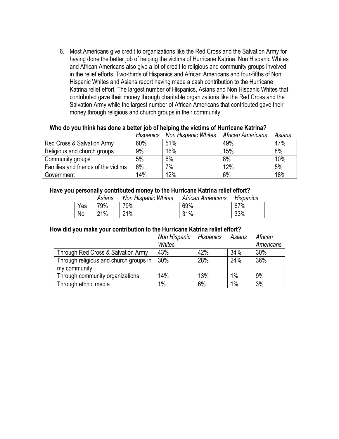6. Most Americans give credit to organizations like the Red Cross and the Salvation Army for having done the better job of helping the victims of Hurricane Katrina. Non Hispanic Whites and African Americans also give a lot of credit to religious and community groups involved in the relief efforts. Two-thirds of Hispanics and African Americans and four-fifths of Non Hispanic Whites and Asians report having made a cash contribution to the Hurricane Katrina relief effort. The largest number of Hispanics, Asians and Non Hispanic Whites that contributed gave their money through charitable organizations like the Red Cross and the Salvation Army while the largest number of African Americans that contributed gave their money through religious and church groups in their community.

## **Who do you think has done a better job of helping the victims of Hurricane Katrina?**

|                                     | <b>Hispanics</b> | Non Hispanic Whites | African Americans | Asians |
|-------------------------------------|------------------|---------------------|-------------------|--------|
| Red Cross & Salvation Army          | 60%              | 51%                 | 49%               | 47%    |
| Religious and church groups         | 9%               | 16%                 | 15%               | 8%     |
| Community groups                    | 5%               | 6%                  | 8%                | 10%    |
| Families and friends of the victims | 6%               | 7%                  | 12%               | 5%     |
| Government                          | 14%              | 12%                 | 6%                | 18%    |

## **Have you personally contributed money to the Hurricane Katrina relief effort?**

|     | Asians | Non Hispanic Whites | African Americans | Hispanics |
|-----|--------|---------------------|-------------------|-----------|
| Yes | 79%    | 79%                 | 69%               | 67%       |
| No  | 21%    | 21%                 | 31%               | 33%       |

# **How did you make your contribution to the Hurricane Katrina relief effort?**

|                                        | Non Hispanic<br>Whites | Hispanics | Asians | African<br>Americans |
|----------------------------------------|------------------------|-----------|--------|----------------------|
| Through Red Cross & Salvation Army     | 43%                    | 42%       | 34%    | 30%                  |
| Through religious and church groups in | 30%                    | 28%       | 24%    | 36%                  |
| my community                           |                        |           |        |                      |
| Through community organizations        | 14%                    | 13%       | 1%     | 9%                   |
| Through ethnic media                   | 1%                     | 6%        | 1%     | 3%                   |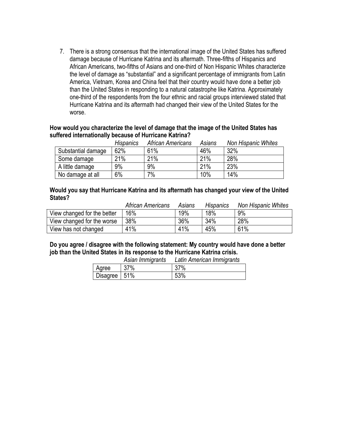7. There is a strong consensus that the international image of the United States has suffered damage because of Hurricane Katrina and its aftermath. Three-fifths of Hispanics and African Americans, two-fifths of Asians and one-third of Non Hispanic Whites characterize the level of damage as "substantial" and a significant percentage of immigrants from Latin America, Vietnam, Korea and China feel that their country would have done a better job than the United States in responding to a natural catastrophe like Katrina. Approximately one-third of the respondents from the four ethnic and racial groups interviewed stated that Hurricane Katrina and its aftermath had changed their view of the United States for the worse.

## **How would you characterize the level of damage that the image of the United States has suffered internationally because of Hurricane Katrina?**

|                    | <b>Hispanics</b> | African Americans | Asians | Non Hispanic Whites |
|--------------------|------------------|-------------------|--------|---------------------|
| Substantial damage | 62%              | 61%               | 46%    | 32%                 |
| Some damage        | 21%              | 21%               | 21%    | 28%                 |
| A little damage    | 9%               | 9%                | 21%    | 23%                 |
| No damage at all   | 6%               | 7%                | 10%    | 14%                 |

## **Would you say that Hurricane Katrina and its aftermath has changed your view of the United States?**

|                             | African Americans | Asians | Hispanics | <b>Non Hispanic Whites</b> |
|-----------------------------|-------------------|--------|-----------|----------------------------|
| View changed for the better | 16%               | 19%    | 18%       | 9%                         |
| View changed for the worse  | 38%               | 36%    | 34%       | 28%                        |
| View has not changed        | 41%               | 41%    | 45%       | 61%                        |

**Do you agree / disagree with the following statement: My country would have done a better job than the United States in its response to the Hurricane Katrina crisis.** *Asian Immigrants Latin American Immigrants*

|                | Asian immigrams | Laun American immigrants |
|----------------|-----------------|--------------------------|
| Agree          | 37%             | 37%                      |
| Disagree   51% |                 | 53%                      |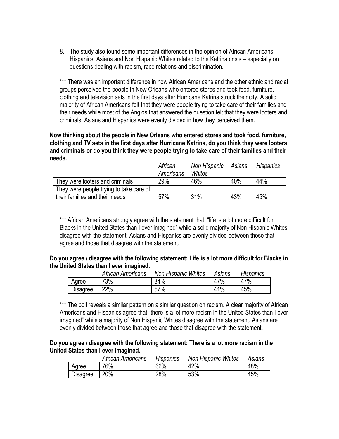8. The study also found some important differences in the opinion of African Americans, Hispanics, Asians and Non Hispanic Whites related to the Katrina crisis – especially on questions dealing with racism, race relations and discrimination.

\*\*\* There was an important difference in how African Americans and the other ethnic and racial groups perceived the people in New Orleans who entered stores and took food, furniture, clothing and television sets in the first days after Hurricane Katrina struck their city. A solid majority of African Americans felt that they were people trying to take care of their families and their needs while most of the Anglos that answered the question felt that they were looters and criminals. Asians and Hispanics were evenly divided in how they perceived them.

**Now thinking about the people in New Orleans who entered stores and took food, furniture, clothing and TV sets in the first days after Hurricane Katrina, do you think they were looters and criminals or do you think they were people trying to take care of their families and their needs.**

|                                         | African<br>Americans | Non Hispanic Asians<br>Whites |     | Hispanics |
|-----------------------------------------|----------------------|-------------------------------|-----|-----------|
| They were looters and criminals         | 29%                  | 46%                           | 40% | 44%       |
| They were people trying to take care of |                      |                               |     |           |
| their families and their needs          | 57%                  | 31%                           | 43% | 45%       |

\*\*\* African Americans strongly agree with the statement that: "life is a lot more difficult for Blacks in the United States than I ever imagined" while a solid majority of Non Hispanic Whites disagree with the statement. Asians and Hispanics are evenly divided between those that agree and those that disagree with the statement.

## **Do you agree / disagree with the following statement: Life is a lot more difficult for Blacks in the United States than I ever imagined.**

|                 | African Americans | Non Hispanic Whites | Asians | <b>Hispanics</b> |
|-----------------|-------------------|---------------------|--------|------------------|
| Agree           | 73%               | 34%                 | 47%    | 47%              |
| <b>Disagree</b> | 22%               | 57%                 | 41%    | 45%              |

\*\*\* The poll reveals a similar pattern on a similar question on racism. A clear majority of African Americans and Hispanics agree that "there is a lot more racism in the United States than I ever imagined" while a majority of Non Hispanic Whites disagree with the statement. Asians are evenly divided between those that agree and those that disagree with the statement.

## **Do you agree / disagree with the following statement: There is a lot more racism in the United States than I ever imagined.**

|                 | African Americans | <b>Hispanics</b> | <b>Non Hispanic Whites</b> | Asians |
|-----------------|-------------------|------------------|----------------------------|--------|
| Agree           | 76%               | 66%              | 42%                        | 48%    |
| <b>Disagree</b> | 20%               | 28%              | 53%                        | 45%    |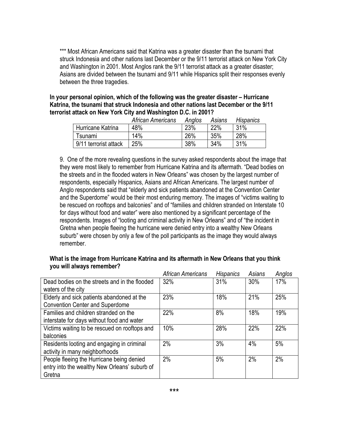\*\*\* Most African Americans said that Katrina was a greater disaster than the tsunami that struck Indonesia and other nations last December or the 9/11 terrorist attack on New York City and Washington in 2001. Most Anglos rank the 9/11 terrorist attack as a greater disaster; Asians are divided between the tsunami and 9/11 while Hispanics split their responses evenly between the three tragedies.

**In your personal opinion, which of the following was the greater disaster – Hurricane Katrina, the tsunami that struck Indonesia and other nations last December or the 9/11 terrorist attack on New York City and Washington D.C. in 2001?**

|                          | African Americans | Anglos | Asians | <b>Hispanics</b> |
|--------------------------|-------------------|--------|--------|------------------|
| <b>Hurricane Katrina</b> | 48%               | 23%    | 22%    | 31%              |
| Tsunami                  | 14%               | 26%    | 35%    | 28%              |
| 9/11 terrorist attack    | 25%               | 38%    | 34%    | 31%              |

9. One of the more revealing questions in the survey asked respondents about the image that they were most likely to remember from Hurricane Katrina and its aftermath. "Dead bodies on the streets and in the flooded waters in New Orleans" was chosen by the largest number of respondents, especially Hispanics, Asians and African Americans. The largest number of Anglo respondents said that "elderly and sick patients abandoned at the Convention Center and the Superdome" would be their most enduring memory. The images of "victims waiting to be rescued on rooftops and balconies" and of "families and children stranded on Interstate 10 for days without food and water" were also mentioned by a significant percentage of the respondents. Images of "looting and criminal activity in New Orleans" and of "the incident in Gretna when people fleeing the hurricane were denied entry into a wealthy New Orleans suburb" were chosen by only a few of the poll participants as the image they would always remember.

## **What is the image from Hurricane Katrina and its aftermath in New Orleans that you think you will always remember?**

|                                               | African Americans | <b>Hispanics</b> | Asians | Anglos |
|-----------------------------------------------|-------------------|------------------|--------|--------|
| Dead bodies on the streets and in the flooded | 32%               | 31%              | 30%    | 17%    |
| waters of the city                            |                   |                  |        |        |
| Elderly and sick patients abandoned at the    | 23%               | 18%              | 21%    | 25%    |
| <b>Convention Center and Superdome</b>        |                   |                  |        |        |
| Families and children stranded on the         | 22%               | 8%               | 18%    | 19%    |
| interstate for days without food and water    |                   |                  |        |        |
| Victims waiting to be rescued on rooftops and | 10%               | 28%              | 22%    | 22%    |
| balconies                                     |                   |                  |        |        |
| Residents looting and engaging in criminal    | 2%                | 3%               | 4%     | 5%     |
| activity in many neighborhoods                |                   |                  |        |        |
| People fleeing the Hurricane being denied     | 2%                | 5%               | 2%     | 2%     |
| entry into the wealthy New Orleans' suburb of |                   |                  |        |        |
| Gretna                                        |                   |                  |        |        |